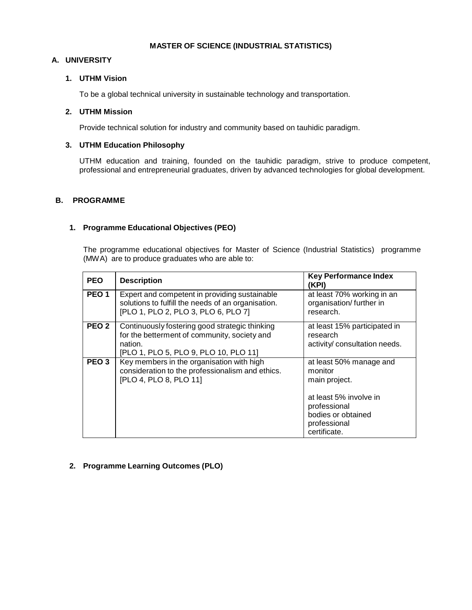### **MASTER OF SCIENCE (INDUSTRIAL STATISTICS)**

## **A. UNIVERSITY**

## **1. UTHM Vision**

To be a global technical university in sustainable technology and transportation.

## **2. UTHM Mission**

Provide technical solution for industry and community based on tauhidic paradigm.

# **3. UTHM Education Philosophy**

UTHM education and training, founded on the tauhidic paradigm, strive to produce competent, professional and entrepreneurial graduates, driven by advanced technologies for global development.

### **B. PROGRAMME**

### **1. Programme Educational Objectives (PEO)**

The programme educational objectives for Master of Science (Industrial Statistics) programme (MWA) are to produce graduates who are able to:

| <b>PEO</b>       | <b>Description</b>                                                                                                                                 | <b>Key Performance Index</b><br>(KPI)                                                                                                               |
|------------------|----------------------------------------------------------------------------------------------------------------------------------------------------|-----------------------------------------------------------------------------------------------------------------------------------------------------|
| PEO <sub>1</sub> | Expert and competent in providing sustainable<br>solutions to fulfill the needs of an organisation.<br>[PLO 1, PLO 2, PLO 3, PLO 6, PLO 7]         | at least 70% working in an<br>organisation/further in<br>research.                                                                                  |
| PEO <sub>2</sub> | Continuously fostering good strategic thinking<br>for the betterment of community, society and<br>nation.<br>[PLO 1, PLO 5, PLO 9, PLO 10, PLO 11] | at least 15% participated in<br>research<br>activity/ consultation needs.                                                                           |
| PEO <sub>3</sub> | Key members in the organisation with high<br>consideration to the professionalism and ethics.<br>[PLO 4, PLO 8, PLO 11]                            | at least 50% manage and<br>monitor<br>main project.<br>at least 5% involve in<br>professional<br>bodies or obtained<br>professional<br>certificate. |

# **2. Programme Learning Outcomes (PLO)**